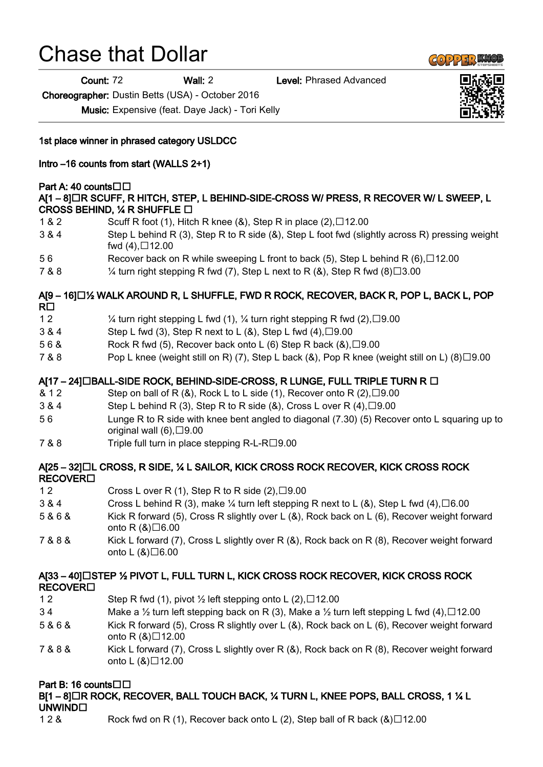# Chase that Dollar

Count: 72 Wall: 2 Level: Phrased Advanced

Choreographer: Dustin Betts (USA) - October 2016

Music: Expensive (feat. Daye Jack) - Tori Kelly

1st place winner in phrased category USLDCC

## Intro –16 counts from start (WALLS 2+1)

#### Part A: 40 counts□□

#### A[1 – 8] OR SCUFF, R HITCH, STEP, L BEHIND-SIDE-CROSS W/ PRESS, R RECOVER W/ L SWEEP, L CROSS BEHIND,  $\frac{1}{4}$  R SHUFFLE  $\Box$

- 1 & 2 Scuff R foot (1), Hitch R knee (&), Step R in place  $(2)$ ,  $\Box$ 12.00
- 3 & 4 Step L behind R (3), Step R to R side (&), Step L foot fwd (slightly across R) pressing weight fwd  $(4)$ ,  $\Box$  12.00
- 5 6 Recover back on R while sweeping L front to back (5), Step L behind R  $(6)$ ,  $\Box$ 12.00
- 7 & 8  $\frac{1}{4}$  turn right stepping R fwd (7), Step L next to R (&), Step R fwd (8)  $\Box$  3.00

#### A[9 – 16] $\Box$  WALK AROUND R, L SHUFFLE, FWD R ROCK, RECOVER, BACK R, POP L, BACK L, POP  $R\square$

- 1 2  $\frac{1}{4}$  turn right stepping L fwd (1),  $\frac{1}{4}$  turn right stepping R fwd (2),  $\Box$  9.00
- $3 & 4$  Step L fwd (3), Step R next to L ( $\&$ ), Step L fwd (4),  $\Box$  9.00
- 5 6 & Rock R fwd (5), Recover back onto L (6) Step R back  $(8)$ ,  $\Box$ 9.00
- $7 & 8 &$  Pop L knee (weight still on R) (7), Step L back (8), Pop R knee (weight still on L) (8) $\Box$ 9.00

# $A$ [17 – 24] $\Box$ BALL-SIDE ROCK, BEHIND-SIDE-CROSS, R LUNGE, FULL TRIPLE TURN R  $\Box$

- & 1 2 Step on ball of R  $(8)$ , Rock L to L side  $(1)$ , Recover onto R  $(2)$ ,  $\Box$ 9.00
- 3 & 4 Step L behind R (3), Step R to R side (&), Cross L over R (4),  $\Box$  9.00
- 5 6 Lunge R to R side with knee bent angled to diagonal (7.30) (5) Recover onto L squaring up to original wall  $(6)$ ,  $\Box$ 9.00
- 7 & 8 Triple full turn in place stepping R-L-R□9.00

## A[25 – 32] L CROSS, R SIDE, ¼ L SAILOR, KICK CROSS ROCK RECOVER, KICK CROSS ROCK **RECOVER**<sub>D</sub>

- 1 2 Cross L over R (1), Step R to R side  $(2)$ ,  $\Box$ 9.00
- 3 & 4 Cross L behind R (3), make  $\frac{1}{4}$  turn left stepping R next to L (&), Step L fwd (4),  $\Box$  6.00
- 5 & 6 & Kick R forward (5), Cross R slightly over L (&), Rock back on L (6), Recover weight forward onto R  $(8)\square 6.00$
- 7 & 8 & Kick L forward (7), Cross L slightly over R (&), Rock back on R (8), Recover weight forward onto  $L(8)\square 6.00$

## A[33-40] LISTEP 1/2 PIVOT L, FULL TURN L, KICK CROSS ROCK RECOVER, KICK CROSS ROCK **RECOVER**<sub>D</sub>

- 1 2 Step R fwd (1), pivot  $\frac{1}{2}$  left stepping onto L (2),  $\Box$  12.00
- 3 4 Make a  $\frac{1}{2}$  turn left stepping back on R (3), Make a  $\frac{1}{2}$  turn left stepping L fwd (4),  $\Box$ 12.00
- 5 & 6 & Kick R forward (5), Cross R slightly over L (&), Rock back on L (6), Recover weight forward onto R  $(8)$  12.00
- 7 & 8 & Kick L forward (7), Cross L slightly over R (&), Rock back on R (8), Recover weight forward onto L $(8)\square$ 12.00

# Part B: 16 counts□□

B[1 – 8]  $\Box$ R ROCK, RECOVER, BALL TOUCH BACK, 14 TURN L, KNEE POPS, BALL CROSS, 1 14 L UNWIND<sup>[]</sup>

1 2 & Rock fwd on R (1), Recover back onto L (2), Step ball of R back  $(8)\Box 12.00$